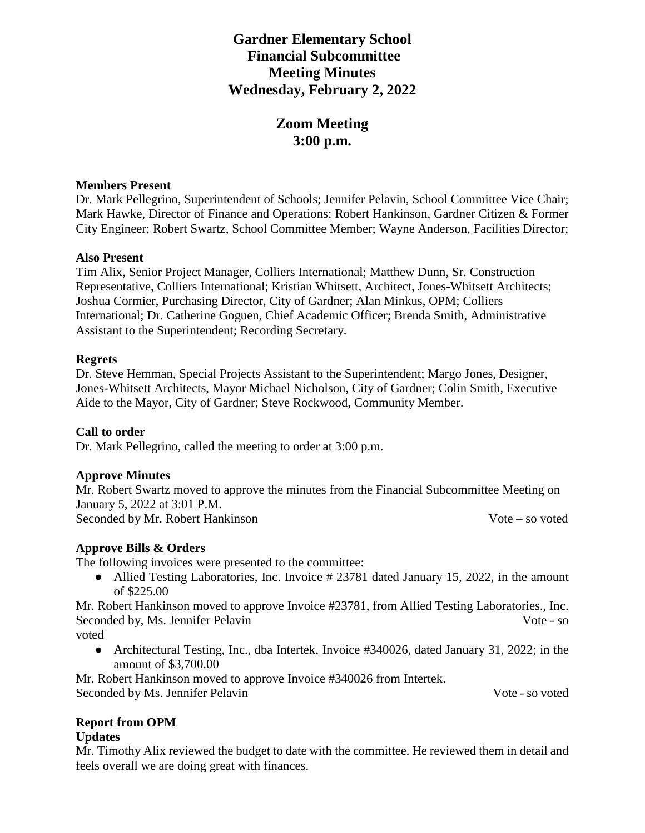# **Gardner Elementary School Financial Subcommittee Meeting Minutes Wednesday, February 2, 2022**

# **Zoom Meeting 3:00 p.m.**

#### **Members Present**

Dr. Mark Pellegrino, Superintendent of Schools; Jennifer Pelavin, School Committee Vice Chair; Mark Hawke, Director of Finance and Operations; Robert Hankinson, Gardner Citizen & Former City Engineer; Robert Swartz, School Committee Member; Wayne Anderson, Facilities Director;

### **Also Present**

Tim Alix, Senior Project Manager, Colliers International; Matthew Dunn, Sr. Construction Representative, Colliers International; Kristian Whitsett, Architect, Jones-Whitsett Architects; Joshua Cormier, Purchasing Director, City of Gardner; Alan Minkus, OPM; Colliers International; Dr. Catherine Goguen, Chief Academic Officer; Brenda Smith, Administrative Assistant to the Superintendent; Recording Secretary.

### **Regrets**

Dr. Steve Hemman, Special Projects Assistant to the Superintendent; Margo Jones, Designer, Jones-Whitsett Architects, Mayor Michael Nicholson, City of Gardner; Colin Smith, Executive Aide to the Mayor, City of Gardner; Steve Rockwood, Community Member.

# **Call to order**

Dr. Mark Pellegrino, called the meeting to order at 3:00 p.m.

# **Approve Minutes**

Mr. Robert Swartz moved to approve the minutes from the Financial Subcommittee Meeting on January 5, 2022 at 3:01 P.M. Seconded by Mr. Robert Hankinson Vote – so voted

# **Approve Bills & Orders**

The following invoices were presented to the committee:

• Allied Testing Laboratories, Inc. Invoice # 23781 dated January 15, 2022, in the amount of \$225.00

Mr. Robert Hankinson moved to approve Invoice #23781, from Allied Testing Laboratories., Inc. Seconded by, Ms. Jennifer Pelavin Vote - so

voted

• Architectural Testing, Inc., dba Intertek, Invoice #340026, dated January 31, 2022; in the amount of \$3,700.00

Mr. Robert Hankinson moved to approve Invoice #340026 from Intertek. Seconded by Ms. Jennifer Pelavin Vote - so voted

# **Report from OPM**

#### **Updates**

Mr. Timothy Alix reviewed the budget to date with the committee. He reviewed them in detail and feels overall we are doing great with finances.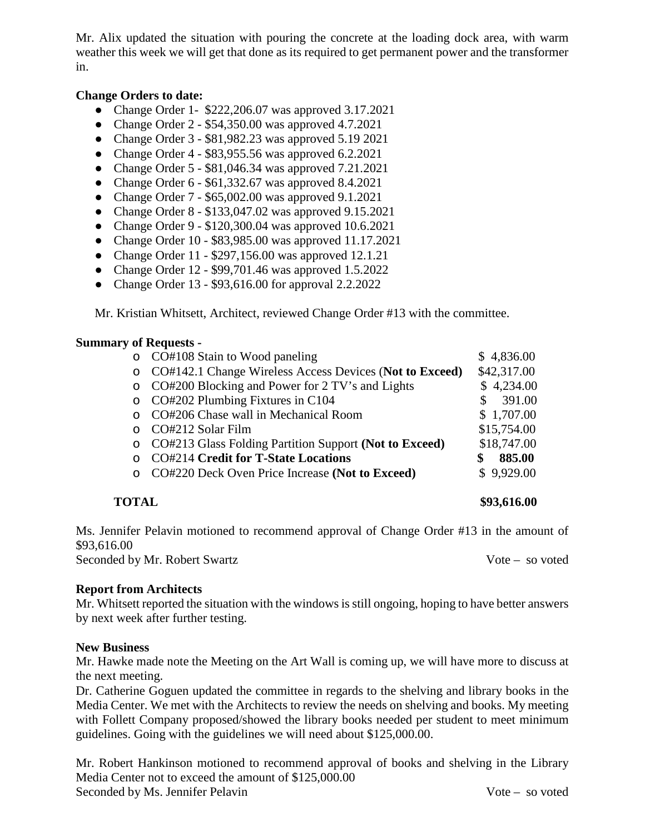Mr. Alix updated the situation with pouring the concrete at the loading dock area, with warm weather this week we will get that done as its required to get permanent power and the transformer in.

#### **Change Orders to date:**

- Change Order 1- \$222,206.07 was approved 3.17.2021
- Change Order 2 \$54,350.00 was approved 4.7.2021
- Change Order 3 \$81,982.23 was approved 5.19 2021
- Change Order  $4 $83,955.56$  was approved  $6.2.2021$
- Change Order 5 \$81,046.34 was approved 7.21.2021
- Change Order 6 \$61,332.67 was approved 8.4.2021
- Change Order 7 \$65,002.00 was approved 9.1.2021
- Change Order 8 \$133,047.02 was approved 9.15.2021
- Change Order 9 \$120,300.04 was approved 10.6.2021
- Change Order 10 \$83,985.00 was approved 11.17.2021
- Change Order  $11 $297,156.00$  was approved  $12.1.21$
- Change Order 12 \$99,701.46 was approved 1.5.2022
- Change Order 13 \$93,616.00 for approval 2.2.2022

Mr. Kristian Whitsett, Architect, reviewed Change Order #13 with the committee.

#### **Summary of Requests -**

|          | o CO#108 Stain to Wood paneling                         | \$4,836.00   |
|----------|---------------------------------------------------------|--------------|
| $\circ$  | CO#142.1 Change Wireless Access Devices (Not to Exceed) | \$42,317.00  |
| $\circ$  | CO#200 Blocking and Power for 2 TV's and Lights         | \$4,234.00   |
| $\circ$  | CO#202 Plumbing Fixtures in C104                        | 391.00<br>£. |
| $\Omega$ | CO#206 Chase wall in Mechanical Room                    | \$1,707.00   |
|          | CO#212 Solar Film                                       | \$15,754.00  |
| $\circ$  | CO#213 Glass Folding Partition Support (Not to Exceed)  | \$18,747.00  |
|          | <b>CO#214 Credit for T-State Locations</b>              | 885.00       |
|          | CO#220 Deck Oven Price Increase (Not to Exceed)         | \$9,929.00   |
|          |                                                         |              |

**TOTAL \$93,616.00**

Ms. Jennifer Pelavin motioned to recommend approval of Change Order #13 in the amount of \$93,616.00 Seconded by Mr. Robert Swartz Vote – so voted

#### **Report from Architects**

Mr. Whitsett reported the situation with the windows is still ongoing, hoping to have better answers by next week after further testing.

#### **New Business**

Mr. Hawke made note the Meeting on the Art Wall is coming up, we will have more to discuss at the next meeting.

Dr. Catherine Goguen updated the committee in regards to the shelving and library books in the Media Center. We met with the Architects to review the needs on shelving and books. My meeting with Follett Company proposed/showed the library books needed per student to meet minimum guidelines. Going with the guidelines we will need about \$125,000.00.

Mr. Robert Hankinson motioned to recommend approval of books and shelving in the Library Media Center not to exceed the amount of \$125,000.00 Seconded by Ms. Jennifer Pelavin Vote – so voted